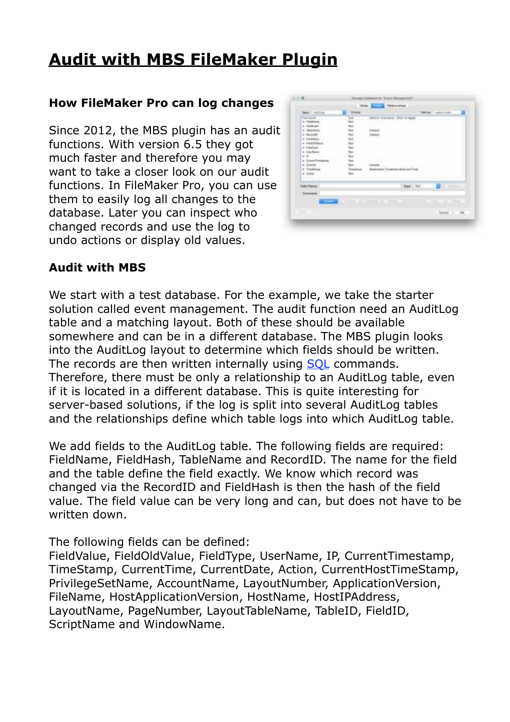# **[Audit with MBS FileMaker Plugin](https://www.mbsplugins.de/archive/2017-01-07/Audit_with_MBS_FileMaker_Plugi)**

#### **How FileMaker Pro can log changes**

Since 2012, the MBS plugin has an audit functions. With version 6.5 they got much faster and therefore you may want to take a closer look on our audit functions. In FileMaker Pro, you can use them to easily log all changes to the database. Later you can inspect who changed records and use the log to undo actions or display old values.

| Mar Livering         | 10 Suite          |                                      | min. | ۵<br><b>Laboratory Conference</b>        |
|----------------------|-------------------|--------------------------------------|------|------------------------------------------|
| Fall Sant            | E                 | lates (Derree S. Elist n.main)       |      |                                          |
| A Thatforce          |                   |                                      |      |                                          |
| <b>F FOREST</b>      |                   |                                      |      |                                          |
| a Telefone           |                   |                                      |      |                                          |
| 4- Percentil         |                   |                                      |      |                                          |
| + Padfisher          |                   |                                      |      |                                          |
| + PartNews-          |                   |                                      |      |                                          |
| 4 Paul Tues          | <b>TELESTER</b>   |                                      |      |                                          |
| <b>6 Lincoltown</b>  |                   |                                      |      |                                          |
| 1.37                 |                   |                                      |      |                                          |
| Conseil missions     |                   |                                      |      |                                          |
| <b>Grant G.</b><br>٠ |                   |                                      |      |                                          |
| + Tomberg            | <b>Department</b> | Towards Sun and Ter                  |      |                                          |
| tr dome              |                   |                                      |      |                                          |
|                      |                   |                                      |      |                                          |
| Fakt Harry           |                   | See Line                             |      | <b>SEALTH</b>                            |
| Current              |                   |                                      |      |                                          |
|                      |                   |                                      |      |                                          |
|                      |                   | $\overline{}$<br><b>SC Transport</b> |      | <b>Black</b><br><b>The Contract</b><br>٠ |
|                      |                   |                                      |      |                                          |
|                      |                   |                                      |      |                                          |

#### **Audit with MBS**

We start with a test database. For the example, we take the starter solution called event management. The audit function need an AuditLog table and a matching layout. Both of these should be available somewhere and can be in a different database. The MBS plugin looks into the AuditLog layout to determine which fields should be written. The records are then written internally using SOL commands. Therefore, there must be only a relationship to an AuditLog table, even if it is located in a different database. This is quite interesting for server-based solutions, if the log is split into several AuditLog tables and the relationships define which table logs into which AuditLog table.

We add fields to the AuditLog table. The following fields are required: FieldName, FieldHash, TableName and RecordID. The name for the field and the table define the field exactly. We know which record was changed via the RecordID and FieldHash is then the hash of the field value. The field value can be very long and can, but does not have to be written down.

The following fields can be defined:

FieldValue, FieldOldValue, FieldType, UserName, IP, CurrentTimestamp, TimeStamp, CurrentTime, CurrentDate, Action, CurrentHostTimeStamp, PrivilegeSetName, AccountName, LayoutNumber, ApplicationVersion, FileName, HostApplicationVersion, HostName, HostIPAddress, LayoutName, PageNumber, LayoutTableName, TableID, FieldID, ScriptName and WindowName.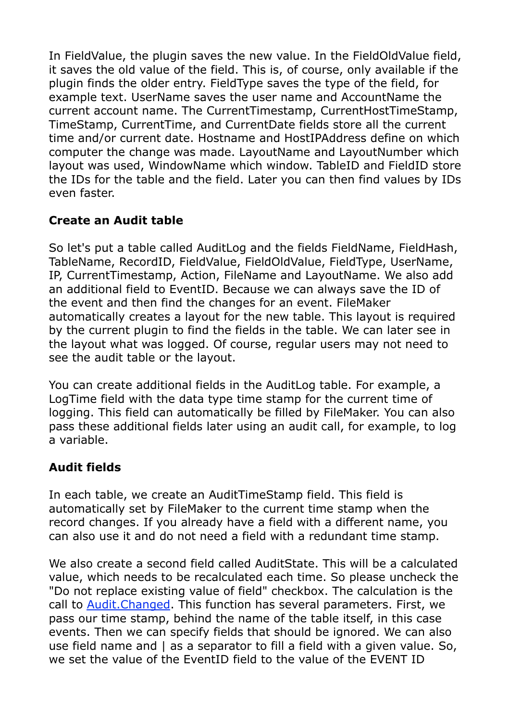In FieldValue, the plugin saves the new value. In the FieldOldValue field, it saves the old value of the field. This is, of course, only available if the plugin finds the older entry. FieldType saves the type of the field, for example text. UserName saves the user name and AccountName the current account name. The CurrentTimestamp, CurrentHostTimeStamp, TimeStamp, CurrentTime, and CurrentDate fields store all the current time and/or current date. Hostname and HostIPAddress define on which computer the change was made. LayoutName and LayoutNumber which layout was used, WindowName which window. TableID and FieldID store the IDs for the table and the field. Later you can then find values by IDs even faster.

## **Create an Audit table**

So let's put a table called AuditLog and the fields FieldName, FieldHash, TableName, RecordID, FieldValue, FieldOldValue, FieldType, UserName, IP, CurrentTimestamp, Action, FileName and LayoutName. We also add an additional field to EventID. Because we can always save the ID of the event and then find the changes for an event. FileMaker automatically creates a layout for the new table. This layout is required by the current plugin to find the fields in the table. We can later see in the layout what was logged. Of course, regular users may not need to see the audit table or the layout.

You can create additional fields in the AuditLog table. For example, a LogTime field with the data type time stamp for the current time of logging. This field can automatically be filled by FileMaker. You can also pass these additional fields later using an audit call, for example, to log a variable.

## **Audit fields**

In each table, we create an AuditTimeStamp field. This field is automatically set by FileMaker to the current time stamp when the record changes. If you already have a field with a different name, you can also use it and do not need a field with a redundant time stamp.

We also create a second field called AuditState. This will be a calculated value, which needs to be recalculated each time. So please uncheck the "Do not replace existing value of field" checkbox. The calculation is the call to [Audit.Changed.](http://www.mbsplugins.eu/AuditChanged.shtml) This function has several parameters. First, we pass our time stamp, behind the name of the table itself, in this case events. Then we can specify fields that should be ignored. We can also use field name and | as a separator to fill a field with a given value. So, we set the value of the EventID field to the value of the EVENT ID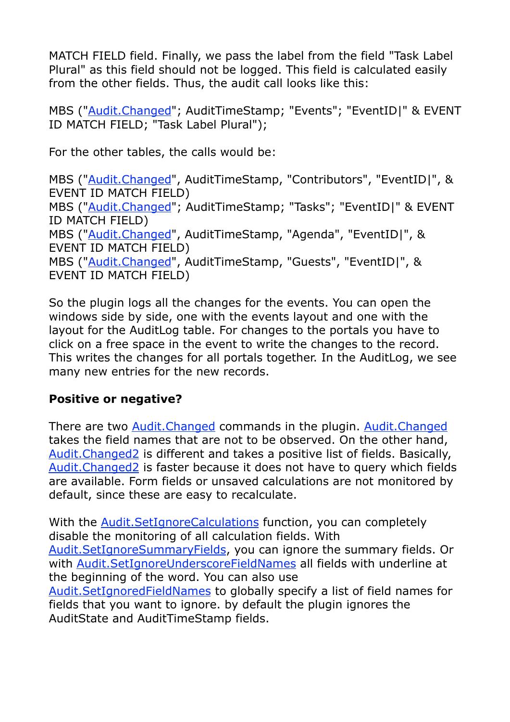MATCH FIELD field. Finally, we pass the label from the field "Task Label Plural" as this field should not be logged. This field is calculated easily from the other fields. Thus, the audit call looks like this:

MBS ("[Audit.Changed](http://www.mbsplugins.eu/AuditChanged.shtml)"; AuditTimeStamp; "Events"; "EventID|" & EVENT ID MATCH FIELD; "Task Label Plural");

For the other tables, the calls would be:

MBS ("[Audit.Changed](http://www.mbsplugins.eu/AuditChanged.shtml)", AuditTimeStamp, "Contributors", "EventID|", & EVENT ID MATCH FIELD) MBS ("[Audit.Changed](http://www.mbsplugins.eu/AuditChanged.shtml)"; AuditTimeStamp; "Tasks"; "EventID|" & EVENT ID MATCH FIELD) MBS ("[Audit.Changed](http://www.mbsplugins.eu/AuditChanged.shtml)", AuditTimeStamp, "Agenda", "EventID|", & EVENT ID MATCH FIELD) MBS ("[Audit.Changed](http://www.mbsplugins.eu/AuditChanged.shtml)", AuditTimeStamp, "Guests", "EventID|", & EVENT ID MATCH FIELD)

So the plugin logs all the changes for the events. You can open the windows side by side, one with the events layout and one with the layout for the AuditLog table. For changes to the portals you have to click on a free space in the event to write the changes to the record. This writes the changes for all portals together. In the AuditLog, we see many new entries for the new records.

#### **Positive or negative?**

AuditState and AuditTimeStamp fields.

There are two [Audit.Changed](http://www.mbsplugins.eu/AuditChanged.shtml) commands in the plugin. [Audit.Changed](http://www.mbsplugins.eu/AuditChanged.shtml) takes the field names that are not to be observed. On the other hand, [Audit.Changed2](http://www.mbsplugins.eu/AuditChanged2.shtml) is different and takes a positive list of fields. Basically, [Audit.Changed2](http://www.mbsplugins.eu/AuditChanged2.shtml) is faster because it does not have to query which fields are available. Form fields or unsaved calculations are not monitored by default, since these are easy to recalculate.

With the [Audit.SetIgnoreCalculations](http://www.mbsplugins.eu/AuditSetIgnoreCalculations.shtml) function, you can completely disable the monitoring of all calculation fields. With [Audit.SetIgnoreSummaryFields](http://www.mbsplugins.eu/AuditSetIgnoreSummaryFields.shtml), you can ignore the summary fields. Or with **Audit.SetIgnoreUnderscoreFieldNames** all fields with underline at the beginning of the word. You can also use [Audit.SetIgnoredFieldNames](http://www.mbsplugins.eu/AuditSetIgnoredFieldNames.shtml) to globally specify a list of field names for fields that you want to ignore. by default the plugin ignores the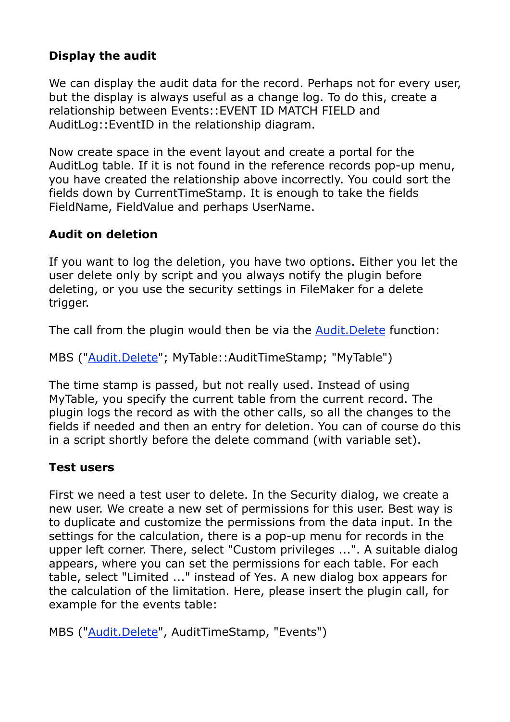### **Display the audit**

We can display the audit data for the record. Perhaps not for every user, but the display is always useful as a change log. To do this, create a relationship between Events::EVENT ID MATCH FIELD and AuditLog::EventID in the relationship diagram.

Now create space in the event layout and create a portal for the AuditLog table. If it is not found in the reference records pop-up menu, you have created the relationship above incorrectly. You could sort the fields down by CurrentTimeStamp. It is enough to take the fields FieldName, FieldValue and perhaps UserName.

## **Audit on deletion**

If you want to log the deletion, you have two options. Either you let the user delete only by script and you always notify the plugin before deleting, or you use the security settings in FileMaker for a delete trigger.

The call from the plugin would then be via the **Audit. Delete** function:

MBS ("[Audit.Delete](http://www.mbsplugins.eu/AuditDelete.shtml)"; MyTable::AuditTimeStamp; "MyTable")

The time stamp is passed, but not really used. Instead of using MyTable, you specify the current table from the current record. The plugin logs the record as with the other calls, so all the changes to the fields if needed and then an entry for deletion. You can of course do this in a script shortly before the delete command (with variable set).

#### **Test users**

First we need a test user to delete. In the Security dialog, we create a new user. We create a new set of permissions for this user. Best way is to duplicate and customize the permissions from the data input. In the settings for the calculation, there is a pop-up menu for records in the upper left corner. There, select "Custom privileges ...". A suitable dialog appears, where you can set the permissions for each table. For each table, select "Limited ..." instead of Yes. A new dialog box appears for the calculation of the limitation. Here, please insert the plugin call, for example for the events table:

MBS ("[Audit.Delete](http://www.mbsplugins.eu/AuditDelete.shtml)", AuditTimeStamp, "Events")